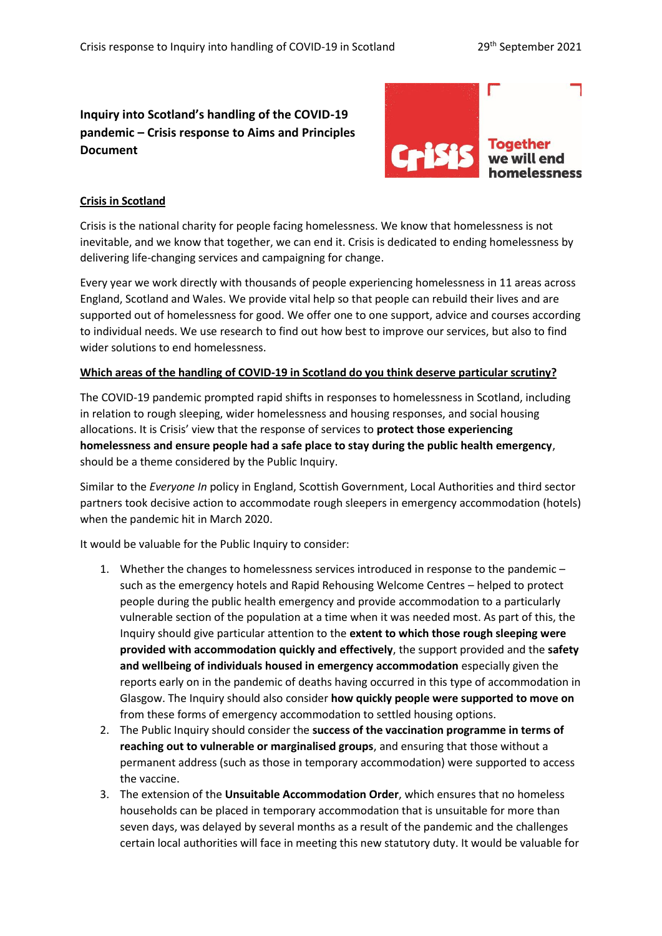# **Inquiry into Scotland's handling of the COVID-19 pandemic – Crisis response to Aims and Principles Document**



# **Crisis in Scotland**

Crisis is the national charity for people facing homelessness. We know that homelessness is not inevitable, and we know that together, we can end it. Crisis is dedicated to ending homelessness by delivering life-changing services and campaigning for change.

Every year we work directly with thousands of people experiencing homelessness in 11 areas across England, Scotland and Wales. We provide vital help so that people can rebuild their lives and are supported out of homelessness for good. We offer one to one support, advice and courses according to individual needs. We use research to find out how best to improve our services, but also to find wider solutions to end homelessness.

#### **Which areas of the handling of COVID-19 in Scotland do you think deserve particular scrutiny?**

The COVID-19 pandemic prompted rapid shifts in responses to homelessness in Scotland, including in relation to rough sleeping, wider homelessness and housing responses, and social housing allocations. It is Crisis' view that the response of services to **protect those experiencing homelessness and ensure people had a safe place to stay during the public health emergency**, should be a theme considered by the Public Inquiry.

Similar to the *Everyone In* policy in England, Scottish Government, Local Authorities and third sector partners took decisive action to accommodate rough sleepers in emergency accommodation (hotels) when the pandemic hit in March 2020.

It would be valuable for the Public Inquiry to consider:

- 1. Whether the changes to homelessness services introduced in response to the pandemic such as the emergency hotels and Rapid Rehousing Welcome Centres – helped to protect people during the public health emergency and provide accommodation to a particularly vulnerable section of the population at a time when it was needed most. As part of this, the Inquiry should give particular attention to the **extent to which those rough sleeping were provided with accommodation quickly and effectively**, the support provided and the **safety and wellbeing of individuals housed in emergency accommodation** especially given the reports early on in the pandemic of deaths having occurred in this type of accommodation in Glasgow. The Inquiry should also consider **how quickly people were supported to move on** from these forms of emergency accommodation to settled housing options.
- 2. The Public Inquiry should consider the **success of the vaccination programme in terms of reaching out to vulnerable or marginalised groups**, and ensuring that those without a permanent address (such as those in temporary accommodation) were supported to access the vaccine.
- 3. The extension of the **Unsuitable Accommodation Order**, which ensures that no homeless households can be placed in temporary accommodation that is unsuitable for more than seven days, was delayed by several months as a result of the pandemic and the challenges certain local authorities will face in meeting this new statutory duty. It would be valuable for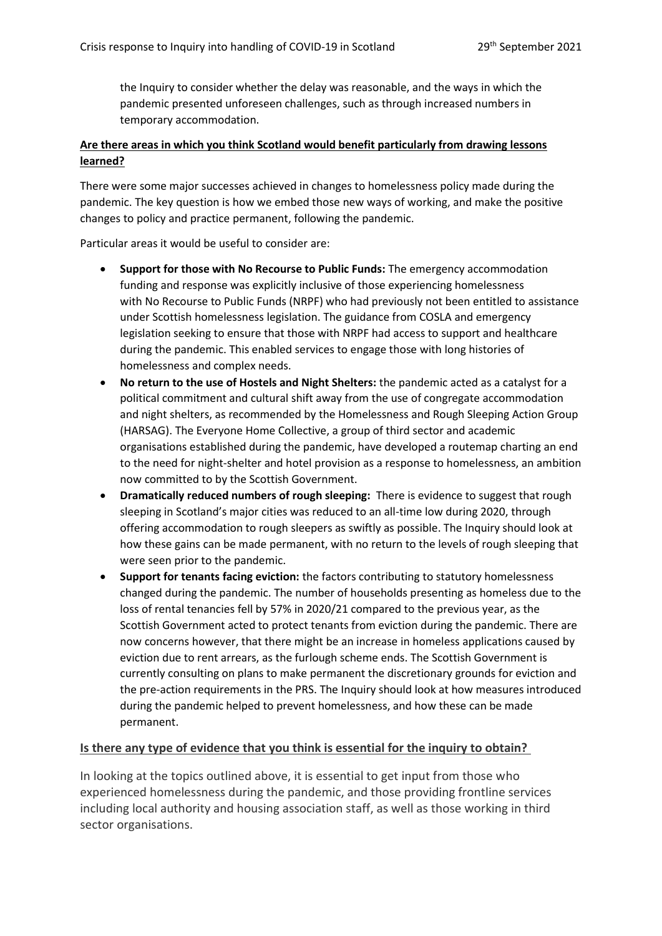the Inquiry to consider whether the delay was reasonable, and the ways in which the pandemic presented unforeseen challenges, such as through increased numbers in temporary accommodation.

# **Are there areas in which you think Scotland would benefit particularly from drawing lessons learned?**

There were some major successes achieved in changes to homelessness policy made during the pandemic. The key question is how we embed those new ways of working, and make the positive changes to policy and practice permanent, following the pandemic.

Particular areas it would be useful to consider are:

- **Support for those with No Recourse to Public Funds:** The emergency accommodation funding and response was explicitly inclusive of those experiencing homelessness with No Recourse to Public Funds (NRPF) who had previously not been entitled to assistance under Scottish homelessness legislation. The guidance from COSLA and emergency legislation seeking to ensure that those with NRPF had access to support and healthcare during the pandemic. This enabled services to engage those with long histories of homelessness and complex needs.
- **No return to the use of Hostels and Night Shelters:** the pandemic acted as a catalyst for a political commitment and cultural shift away from the use of congregate accommodation and night shelters, as recommended by the Homelessness and Rough Sleeping Action Group (HARSAG). The Everyone Home Collective, a group of third sector and academic organisations established during the pandemic, have developed a routemap charting an end to the need for night-shelter and hotel provision as a response to homelessness, an ambition now committed to by the Scottish Government.
- **Dramatically reduced numbers of rough sleeping:** There is evidence to suggest that rough sleeping in Scotland's major cities was reduced to an all-time low during 2020, through offering accommodation to rough sleepers as swiftly as possible. The Inquiry should look at how these gains can be made permanent, with no return to the levels of rough sleeping that were seen prior to the pandemic.
- **Support for tenants facing eviction:** the factors contributing to statutory homelessness changed during the pandemic. The number of households presenting as homeless due to the loss of rental tenancies fell by 57% in 2020/21 compared to the previous year, as the Scottish Government acted to protect tenants from eviction during the pandemic. There are now concerns however, that there might be an increase in homeless applications caused by eviction due to rent arrears, as the furlough scheme ends. The Scottish Government is currently consulting on plans to make permanent the discretionary grounds for eviction and the pre-action requirements in the PRS. The Inquiry should look at how measures introduced during the pandemic helped to prevent homelessness, and how these can be made permanent.

## **Is there any type of evidence that you think is essential for the inquiry to obtain?**

In looking at the topics outlined above, it is essential to get input from those who experienced homelessness during the pandemic, and those providing frontline services including local authority and housing association staff, as well as those working in third sector organisations.